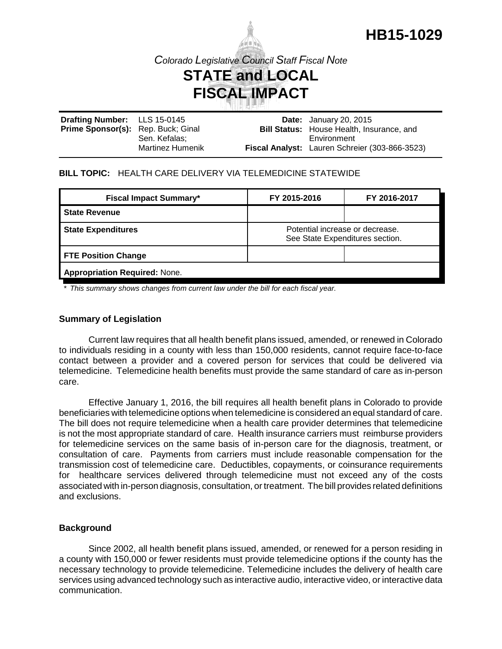

**Drafting Number: Prime Sponsor(s):** LLS 15-0145 Rep. Buck; Ginal Sen. Kefalas; Martinez Humenik **Date:** January 20, 2015 **Bill Status:** House Health, Insurance, and **Fiscal Analyst:** Lauren Schreier (303-866-3523) Environment

# **BILL TOPIC:** HEALTH CARE DELIVERY VIA TELEMEDICINE STATEWIDE

| <b>Fiscal Impact Summary*</b>        | FY 2015-2016                                                       | FY 2016-2017 |
|--------------------------------------|--------------------------------------------------------------------|--------------|
| <b>State Revenue</b>                 |                                                                    |              |
| <b>State Expenditures</b>            | Potential increase or decrease.<br>See State Expenditures section. |              |
| <b>FTE Position Change</b>           |                                                                    |              |
| <b>Appropriation Required: None.</b> |                                                                    |              |

*\* This summary shows changes from current law under the bill for each fiscal year.* 

#### **Summary of Legislation**

Current law requires that all health benefit plans issued, amended, or renewed in Colorado to individuals residing in a county with less than 150,000 residents, cannot require face-to-face contact between a provider and a covered person for services that could be delivered via telemedicine. Telemedicine health benefits must provide the same standard of care as in-person care.

Effective January 1, 2016, the bill requires all health benefit plans in Colorado to provide beneficiaries with telemedicine options when telemedicine is considered an equal standard of care. The bill does not require telemedicine when a health care provider determines that telemedicine is not the most appropriate standard of care. Health insurance carriers must reimburse providers for telemedicine services on the same basis of in-person care for the diagnosis, treatment, or consultation of care. Payments from carriers must include reasonable compensation for the transmission cost of telemedicine care. Deductibles, copayments, or coinsurance requirements for healthcare services delivered through telemedicine must not exceed any of the costs associated with in-person diagnosis, consultation, or treatment. The bill provides related definitions and exclusions.

## **Background**

Since 2002, all health benefit plans issued, amended, or renewed for a person residing in a county with 150,000 or fewer residents must provide telemedicine options if the county has the necessary technology to provide telemedicine. Telemedicine includes the delivery of health care services using advanced technology such as interactive audio, interactive video, or interactive data communication.